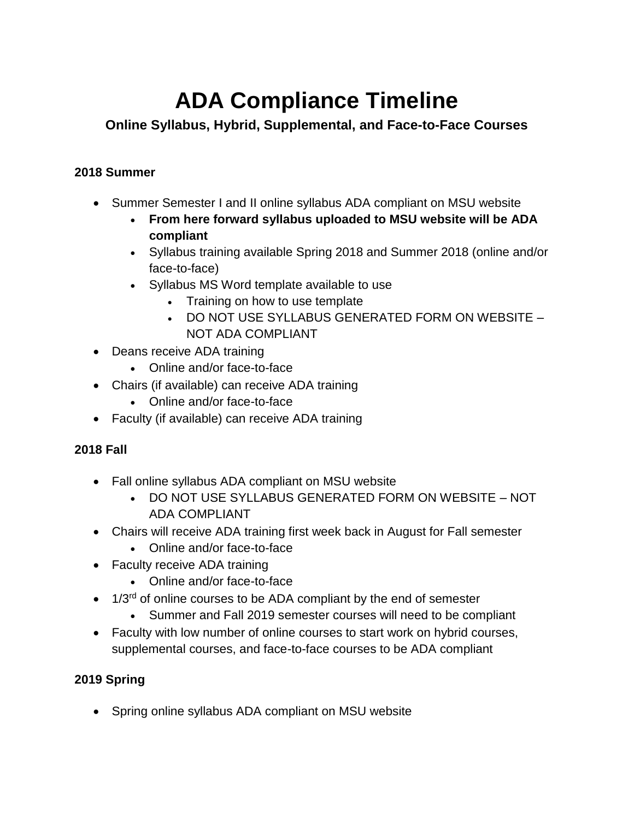# **ADA Compliance Timeline**

# **Online Syllabus, Hybrid, Supplemental, and Face-to-Face Courses**

## **2018 Summer**

- Summer Semester I and II online syllabus ADA compliant on MSU website
	- **From here forward syllabus uploaded to MSU website will be ADA compliant**
	- Syllabus training available Spring 2018 and Summer 2018 (online and/or face-to-face)
	- Syllabus MS Word template available to use
		- Training on how to use template
		- DO NOT USE SYLLABUS GENERATED FORM ON WEBSITE NOT ADA COMPLIANT
- Deans receive ADA training
	- Online and/or face-to-face
- Chairs (if available) can receive ADA training
	- Online and/or face-to-face
- Faculty (if available) can receive ADA training

# **2018 Fall**

- Fall online syllabus ADA compliant on MSU website
	- DO NOT USE SYLLABUS GENERATED FORM ON WEBSITE NOT ADA COMPLIANT
- Chairs will receive ADA training first week back in August for Fall semester
	- Online and/or face-to-face
- Faculty receive ADA training
	- Online and/or face-to-face
- 1/3<sup>rd</sup> of online courses to be ADA compliant by the end of semester
	- Summer and Fall 2019 semester courses will need to be compliant
- Faculty with low number of online courses to start work on hybrid courses, supplemental courses, and face-to-face courses to be ADA compliant

### **2019 Spring**

• Spring online syllabus ADA compliant on MSU website